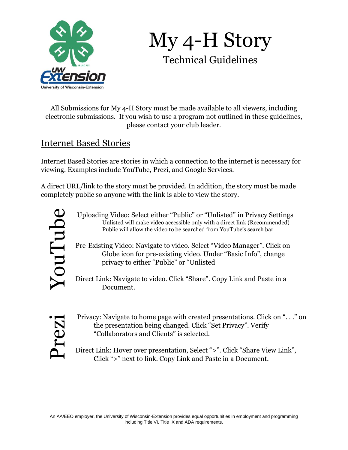

My 4-H Story

Technical Guidelines

All Submissions for My 4-H Story must be made available to all viewers, including electronic submissions. If you wish to use a program not outlined in these guidelines, please contact your club leader.

## Internet Based Stories

Internet Based Stories are stories in which a connection to the internet is necessary for viewing. Examples include YouTube, Prezi, and Google Services.

A direct URL/link to the story must be provided. In addition, the story must be made completely public so anyone with the link is able to view the story.



Uploading Video: Select either "Public" or "Unlisted" in Privacy Settings Unlisted will make video accessible only with a direct link (Recommended) Public will allow the video to be searched from YouTube's search bar

Pre-Existing Video: Navigate to video. Select "Video Manager". Click on Globe icon for pre-existing video. Under "Basic Info", change privacy to either "Public" or "Unlisted

Direct Link: Navigate to video. Click "Share". Copy Link and Paste in a Document.

Prezi

Privacy: Navigate to home page with created presentations. Click on ". . ." on the presentation being changed. Click "Set Privacy". Verify "Collaborators and Clients" is selected.

Direct Link: Hover over presentation, Select ">". Click "Share View Link", Click ">" next to link. Copy Link and Paste in a Document.